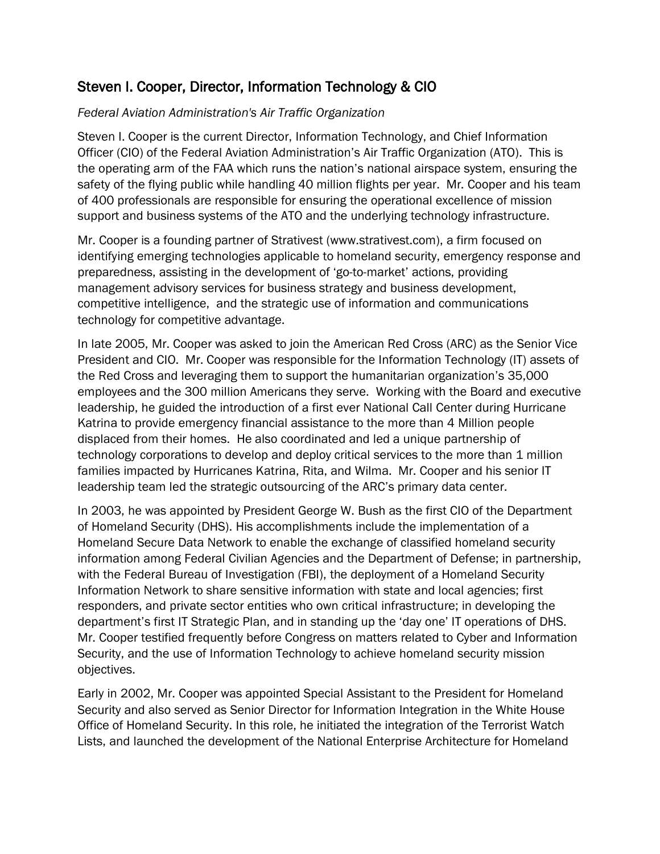## Steven I. Cooper, Director, Information Technology & CIO

## *Federal Aviation Administration's Air Traffic Organization*

Steven I. Cooper is the current Director, Information Technology, and Chief Information Officer (CIO) of the Federal Aviation Administration's Air Traffic Organization (ATO). This is the operating arm of the FAA which runs the nation's national airspace system, ensuring the safety of the flying public while handling 40 million flights per year. Mr. Cooper and his team of 400 professionals are responsible for ensuring the operational excellence of mission support and business systems of the ATO and the underlying technology infrastructure.

Mr. Cooper is a founding partner of Strativest (www.strativest.com), a firm focused on identifying emerging technologies applicable to homeland security, emergency response and preparedness, assisting in the development of 'go-to-market' actions, providing management advisory services for business strategy and business development, competitive intelligence, and the strategic use of information and communications technology for competitive advantage.

In late 2005, Mr. Cooper was asked to join the American Red Cross (ARC) as the Senior Vice President and CIO. Mr. Cooper was responsible for the Information Technology (IT) assets of the Red Cross and leveraging them to support the humanitarian organization's 35,000 employees and the 300 million Americans they serve. Working with the Board and executive leadership, he guided the introduction of a first ever National Call Center during Hurricane Katrina to provide emergency financial assistance to the more than 4 Million people displaced from their homes. He also coordinated and led a unique partnership of technology corporations to develop and deploy critical services to the more than 1 million families impacted by Hurricanes Katrina, Rita, and Wilma. Mr. Cooper and his senior IT leadership team led the strategic outsourcing of the ARC's primary data center.

In 2003, he was appointed by President George W. Bush as the first CIO of the Department of Homeland Security (DHS). His accomplishments include the implementation of a Homeland Secure Data Network to enable the exchange of classified homeland security information among Federal Civilian Agencies and the Department of Defense; in partnership, with the Federal Bureau of Investigation (FBI), the deployment of a Homeland Security Information Network to share sensitive information with state and local agencies; first responders, and private sector entities who own critical infrastructure; in developing the department's first IT Strategic Plan, and in standing up the 'day one' IT operations of DHS. Mr. Cooper testified frequently before Congress on matters related to Cyber and Information Security, and the use of Information Technology to achieve homeland security mission objectives.

Early in 2002, Mr. Cooper was appointed Special Assistant to the President for Homeland Security and also served as Senior Director for Information Integration in the White House Office of Homeland Security. In this role, he initiated the integration of the Terrorist Watch Lists, and launched the development of the National Enterprise Architecture for Homeland